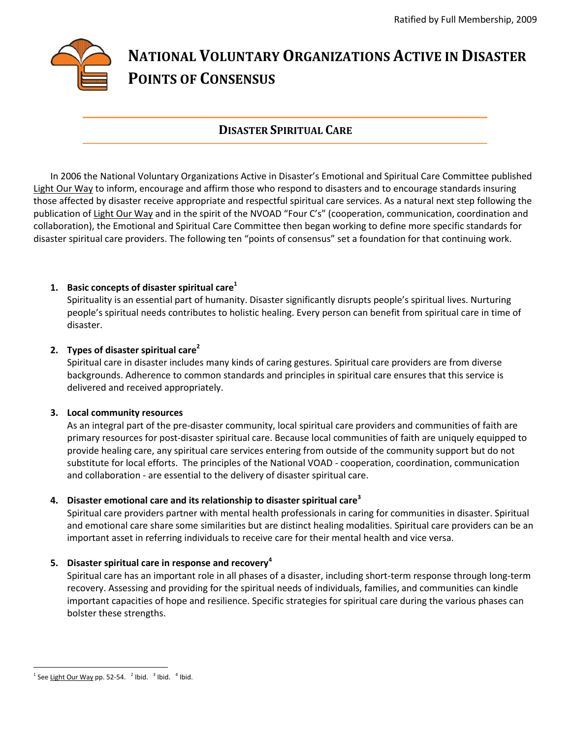# **NATIONAL VOLUNTARY ORGANIZATIONS ACTIVE IN DISASTER POINTS OF CONSENSUS**

# **DISASTER SPIRITUAL CARE**

In 2006 the National Voluntary Organizations Active in Disaster's Emotional and Spiritual Care Committee published Light Our Way to inform, encourage and affirm those who respond to disasters and to encourage standards insuring those affected by disaster receive appropriate and respectful spiritual care services. As a natural next step following the publication of Light Our Way and in the spirit of the NVOAD "Four C's" (cooperation, communication, coordination and collaboration), the Emotional and Spiritual Care Committee then began working to define more specific standards for disaster spiritual care providers. The following ten "points of consensus" set a foundation for that continuing work.

# **1. Basic concepts of disaster spiritual care<sup>1</sup>**

Spirituality is an essential part of humanity. Disaster significantly disrupts people's spiritual lives. Nurturing people's spiritual needs contributes to holistic healing. Every person can benefit from spiritual care in time of disaster.

#### **2. Types of disaster spiritual care<sup>2</sup>**

Spiritual care in disaster includes many kinds of caring gestures. Spiritual care providers are from diverse backgrounds. Adherence to common standards and principles in spiritual care ensures that this service is delivered and received appropriately.

#### **3. Local community resources**

As an integral part of the pre-disaster community, local spiritual care providers and communities of faith are primary resources for post-disaster spiritual care. Because local communities of faith are uniquely equipped to provide healing care, any spiritual care services entering from outside of the community support but do not substitute for local efforts. The principles of the National VOAD - cooperation, coordination, communication and collaboration - are essential to the delivery of disaster spiritual care.

# **4. Disaster emotional care and its relationship to disaster spiritual care<sup>3</sup>**

Spiritual care providers partner with mental health professionals in caring for communities in disaster. Spiritual and emotional care share some similarities but are distinct healing modalities. Spiritual care providers can be an important asset in referring individuals to receive care for their mental health and vice versa.

# **5. Disaster spiritual care in response and recovery<sup>4</sup>**

Spiritual care has an important role in all phases of a disaster, including short-term response through long-term recovery. Assessing and providing for the spiritual needs of individuals, families, and communities can kindle important capacities of hope and resilience. Specific strategies for spiritual care during the various phases can bolster these strengths.

 $\overline{a}$  $^1$  See Light Our Way pp. 52-54.  $^2$  Ibid.  $^3$  Ibid.  $^4$  Ibid.